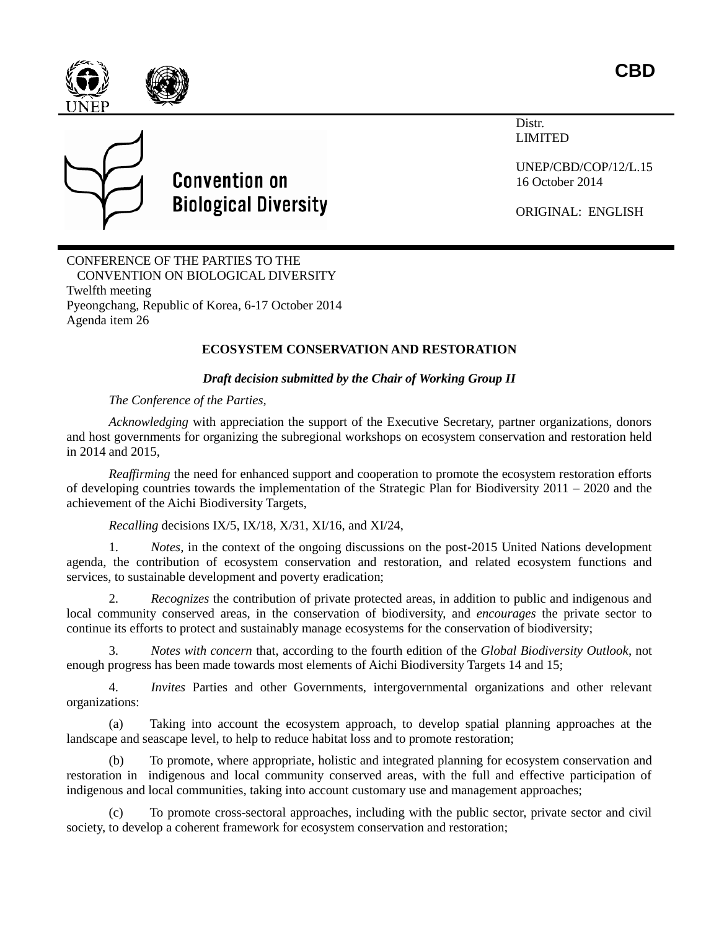



Distr. LIMITED



## **Convention on Biological Diversity**

UNEP/CBD/COP/12/L.15 16 October 2014

ORIGINAL: ENGLISH

CONFERENCE OF THE PARTIES TO THE CONVENTION ON BIOLOGICAL DIVERSITY Twelfth meeting Pyeongchang, Republic of Korea, 6-17 October 2014 Agenda item 26

## **ECOSYSTEM CONSERVATION AND RESTORATION**

## *Draft decision submitted by the Chair of Working Group II*

## *The Conference of the Parties,*

*Acknowledging* with appreciation the support of the Executive Secretary, partner organizations, donors and host governments for organizing the subregional workshops on ecosystem conservation and restoration held in 2014 and 2015,

*Reaffirming* the need for enhanced support and cooperation to promote the ecosystem restoration efforts of developing countries towards the implementation of the Strategic Plan for Biodiversity 2011 – 2020 and the achievement of the Aichi Biodiversity Targets,

*Recalling* decisions IX/5, IX/18, X/31, XI/16, and XI/24,

1. *Notes,* in the context of the ongoing discussions on the post-2015 United Nations development agenda, the contribution of ecosystem conservation and restoration, and related ecosystem functions and services, to sustainable development and poverty eradication;

2. *Recognizes* the contribution of private protected areas, in addition to public and indigenous and local community conserved areas, in the conservation of biodiversity, and *encourages* the private sector to continue its efforts to protect and sustainably manage ecosystems for the conservation of biodiversity;

3. *Notes with concern* that, according to the fourth edition of the *Global Biodiversity Outlook*, not enough progress has been made towards most elements of Aichi Biodiversity Targets 14 and 15;

4. *Invites* Parties and other Governments, intergovernmental organizations and other relevant organizations:

(a) Taking into account the ecosystem approach, to develop spatial planning approaches at the landscape and seascape level, to help to reduce habitat loss and to promote restoration;

(b) To promote, where appropriate, holistic and integrated planning for ecosystem conservation and restoration in indigenous and local community conserved areas, with the full and effective participation of indigenous and local communities, taking into account customary use and management approaches;

(c) To promote cross-sectoral approaches, including with the public sector, private sector and civil society, to develop a coherent framework for ecosystem conservation and restoration;